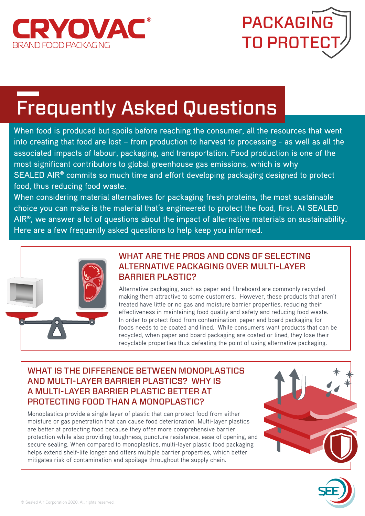



# Frequently Asked Questions

When food is produced but spoils before reaching the consumer, all the resources that went into creating that food are lost – from production to harvest to processing - as well as all the associated impacts of labour, packaging, and transportation. Food production is one of the most significant contributors to global greenhouse gas emissions, which is why SEALED AIR® commits so much time and effort developing packaging designed to protect food, thus reducing food waste.

When considering material alternatives for packaging fresh proteins, the most sustainable choice you can make is the material that's engineered to protect the food, first. At SEALED AIR®, we answer a lot of questions about the impact of alternative materials on sustainability. Here are a few frequently asked questions to help keep you informed.



#### WHAT ARE THE PROS AND CONS OF SELECTING ALTERNATIVE PACKAGING OVER MULTI-LAYER BARRIER PLASTIC?

Alternative packaging, such as paper and fibreboard are commonly recycled making them attractive to some customers. However, these products that aren't treated have little or no gas and moisture barrier properties, reducing their effectiveness in maintaining food quality and safety and reducing food waste. In order to protect food from contamination, paper and board packaging for foods needs to be coated and lined. While consumers want products that can be recycled, when paper and board packaging are coated or lined, they lose their recyclable properties thus defeating the point of using alternative packaging.

#### WHAT IS THE DIFFERENCE BETWEEN MONOPLASTICS AND MULTI-LAYER BARRIER PLASTICS? WHY IS A MULTI-LAYER BARRIER PLASTIC BETTER AT PROTECTING FOOD THAN A MONOPLASTIC?

Monoplastics provide a single layer of plastic that can protect food from either moisture or gas penetration that can cause food deterioration. Multi-layer plastics are better at protecting food because they offer more comprehensive barrier protection while also providing toughness, puncture resistance, ease of opening, and secure sealing. When compared to monoplastics, multi-layer plastic food packaging helps extend shelf-life longer and offers multiple barrier properties, which better mitigates risk of contamination and spoilage throughout the supply chain.